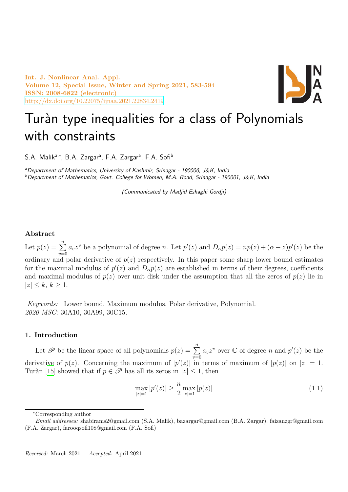

# Turàn type inequalities for a class of Polynomials [with constraints](http://dx.doi.org/10.22075/ijnaa.2021.22834.2419)

S.A. Malik<sup>a,∗</sup>, B.A. Zargar<sup>a</sup>, F.A. Zargar<sup>a</sup>, F.A. Sofi<sup>b</sup>

*<sup>a</sup>Department of Mathematics, University of Kashmir, Srinagar - 190006, J&K, India <sup>b</sup>Department of Mathematics, Govt. College for Women, M.A. Road, Srinagar - 190001, J&K, India*

*(Communicated by Madjid Eshaghi Gordji)*

## **Abstract**

Let  $p(z) = \sum_{n=1}^{\infty}$ *v*=0  $a_v z^v$  be a polynomial of degree n. Let  $p'(z)$  and  $D_{\alpha} p(z) = np(z) + (\alpha - z) p'(z)$  be the ordinary and polar derivative of  $p(z)$  respectively. In this paper some sharp lower bound estimates for the maximal modulus of  $p'(z)$  and  $D_{\alpha}p(z)$  are established in terms of their degrees, coefficients and maximal modulus of  $p(z)$  over unit disk under the assumption that all the zeros of  $p(z)$  lie in *|z| ≤ k*, *k ≥* 1.

*Keywords:* Lower bound, Maximum modulus, Polar derivative, Polynomial. *2020 MSC:* 30A10, 30A99, 30C15*.*

## **1. Introduction**

Let  $\mathscr P$  be the linear space of all polynomials  $p(z) = \sum^n$ *v*=0  $a_v z^v$  over  $\mathbb C$  of degree *n* and  $p'(z)$  be the derivative of  $p(z)$ . Concerning the maximum of  $|p'(z)|$  in terms of maximum of  $|p(z)|$  on  $|z|=1$ . Turàn [15] showed that if  $p \in \mathscr{P}$  has all its zeros in  $|z| \leq 1$ , then

$$
\max_{|z|=1} |p'(z)| \ge \frac{n}{2} \max_{|z|=1} |p(z)| \tag{1.1}
$$

*<sup>∗</sup>*Corresponding author

*Email addresses:* shabirams2@gmail.com (S.A. Malik), bazargar@gmail.com (B.A. Zargar), faizanzgr@gmail.com (F.A. Zargar), farooqsofi108@gmail.com (F.A. Sofi)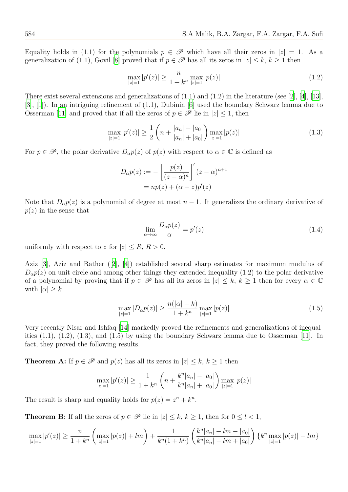Equality holds in (1.1) for the polynomials  $p \in \mathscr{P}$  which have all their zeros in  $|z| = 1$ . As a generalization of (1.1), Govil [8] proved that if  $p \in \mathscr{P}$  has all its zeros in  $|z| \leq k, k \geq 1$  then

$$
\max_{|z|=1} |p'(z)| \ge \frac{n}{1+k^n} \max_{|z|=1} |p(z)| \tag{1.2}
$$

There exist several extensions [a](#page-10-0)nd generalizations of  $(1.1)$  and  $(1.2)$  in the literature (see [2], [4], [13], [3], [1]). In an intriguing refinement of (1.1), Dubinin [6] used the boundary Schwarz lemma due to Osserman [11] and proved that if all the zeros of  $p \in \mathscr{P}$  lie in  $|z| \leq 1$ , then

$$
\max_{|z|=1} |p'(z)| \ge \frac{1}{2} \left( n + \frac{|a_n| - |a_0|}{|a_n| + |a_0|} \right) \max_{|z|=1} |p(z)| \tag{1.3}
$$

For  $p \in \mathscr{P}$ , the polar derivative  $D_{\alpha}p(z)$  of  $p(z)$  with respect to  $\alpha \in \mathbb{C}$  is defined as

$$
D_{\alpha}p(z) := -\left[\frac{p(z)}{(z-\alpha)^n}\right]'(z-\alpha)^{n+1}
$$

$$
= np(z) + (\alpha - z)p'(z)
$$

Note that  $D_{\alpha}p(z)$  is a polynomial of degree at most  $n-1$ . It generalizes the ordinary derivative of *p*(*z*) in the sense that

$$
\lim_{\alpha \to \infty} \frac{D_{\alpha} p(z)}{\alpha} = p'(z) \tag{1.4}
$$

uniformly with respect to *z* for  $|z| \leq R$ ,  $R > 0$ .

Aziz [3], Aziz and Rather ([2], [4]) established several sharp estimates for maximum modulus of  $D_{\alpha}p(z)$  on unit circle and among other things they extended inequality (1.2) to the polar derivative of a polynomial by proving that if  $p \in \mathcal{P}$  has all its zeros in  $|z| \leq k, k \geq 1$  then for every  $\alpha \in \mathbb{C}$ with  $|\alpha| \geq k$ 

$$
\max_{|z|=1} |D_{\alpha}p(z)| \ge \frac{n(|\alpha|-k)}{1+k^n} \max_{|z|=1} |p(z)| \tag{1.5}
$$

Very recently Nisar and Ishfaq [14] markedly proved the refinements and generalizations of inequalities  $(1.1)$ ,  $(1.2)$ ,  $(1.3)$ , and  $(1.5)$  by using the boundary Schwarz lemma due to Osserman [11]. In fact, they proved the following results.

**Theorem A:** If  $p \in \mathcal{P}$  and  $p(z)$  $p(z)$  has all its zeros in  $|z| \leq k, k \geq 1$  then

$$
\max_{|z|=1} |p'(z)| \ge \frac{1}{1+k^n} \left( n + \frac{k^n |a_n| - |a_0|}{k^n |a_n| + |a_0|} \right) \max_{|z|=1} |p(z)|
$$

The result is sharp and equality holds for  $p(z) = z^n + k^n$ .

**Theorem B:** If all the zeros of  $p \in \mathcal{P}$  lie in  $|z| \leq k, k \geq 1$ , then for  $0 \leq l < 1$ ,

$$
\max_{|z|=1} |p'(z)| \ge \frac{n}{1+k^n} \left( \max_{|z|=1} |p(z)| + lm \right) + \frac{1}{k^n (1+k^n)} \left( \frac{k^n |a_n| - lm - |a_0|}{k^n |a_n| - lm + |a_0|} \right) \left\{ k^n \max_{|z|=1} |p(z)| - lm \right\}
$$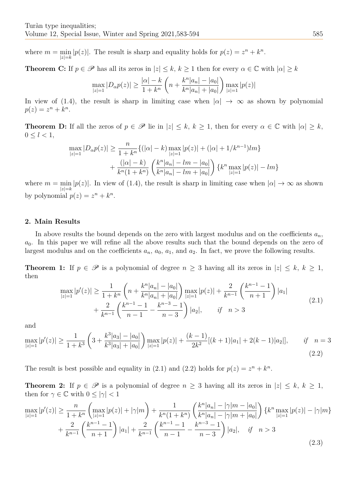where  $m = \min$ *|z|*=*k*  $|p(z)|$ . The result is sharp and equality holds for  $p(z) = z^n + k^n$ .

**Theorem C:** If  $p \in \mathscr{P}$  has all its zeros in  $|z| \leq k, k \geq 1$  then for every  $\alpha \in \mathbb{C}$  with  $|\alpha| \geq k$ 

$$
\max_{|z|=1} |D_{\alpha}p(z)| \ge \frac{|\alpha|-k}{1+k^n} \left( n + \frac{k^n|a_n| - |a_0|}{k^n|a_n| + |a_0|} \right) \max_{|z|=1} |p(z)|
$$

In view of (1.4), the result is sharp in limiting case when  $|\alpha| \to \infty$  as shown by polynomial  $p(z) = z^n + k^n$ .

**Theorem D:** If all the zeros of  $p \in \mathcal{P}$  lie in  $|z| \leq k, k \geq 1$ , then for every  $\alpha \in \mathbb{C}$  with  $|\alpha| \geq k$ ,  $0 \leq l < 1$ ,

$$
\max_{|z|=1} |D_{\alpha}p(z)| \ge \frac{n}{1+k^n} \{ (|\alpha|-k) \max_{|z|=1} |p(z)| + (|\alpha|+1/k^{n-1})lm \} + \frac{(|\alpha|-k)}{k^n(1+k^n)} \left( \frac{k^n |a_n| - lm - |a_0|}{k^n |a_n| - lm + |a_0|} \right) \{ k^n \max_{|z|=1} |p(z)| - lm \}
$$

where  $m = \min$ *|z|*=*k |p(z)|*. In view of (1.4), the result is sharp in limiting case when  $| \alpha | \to \infty$  as shown by polynomial  $p(z) = z^n + k^n$ .

# **2. Main Results**

In above results the bound depends on the zero with largest modulus and on the coefficients  $a_n$ ,  $a_0$ . In this paper we will refine all the above results such that the bound depends on the zero of largest modulus and on the coefficients  $a_n$ ,  $a_0$ ,  $a_1$ , and  $a_2$ . In fact, we prove the following results.

**Theorem 1:** If  $p \in \mathcal{P}$  is a polynomial of degree  $n \geq 3$  having all its zeros in  $|z| \leq k, k \geq 1$ , then

$$
\max_{|z|=1} |p'(z)| \ge \frac{1}{1+k^n} \left( n + \frac{k^n |a_n| - |a_0|}{k^n |a_n| + |a_0|} \right) \max_{|z|=1} |p(z)| + \frac{2}{k^{n-1}} \left( \frac{k^{n-1} - 1}{n+1} \right) |a_1| + \frac{2}{k^{n-1}} \left( \frac{k^{n-1} - 1}{n-1} - \frac{k^{n-3} - 1}{n-3} \right) |a_2|, \quad \text{if} \quad n > 3 \tag{2.1}
$$

and

$$
\max_{|z|=1} |p'(z)| \ge \frac{1}{1+k^3} \left(3 + \frac{k^3|a_3| - |a_0|}{k^3|a_3| + |a_0|}\right) \max_{|z|=1} |p(z)| + \frac{(k-1)}{2k^2} [(k+1)|a_1| + 2(k-1)|a_2|], \qquad \text{if} \quad n=3
$$
\n(2.2)

The result is best possible and equality in (2.1) and (2.2) holds for  $p(z) = z^n + k^n$ .

**Theorem 2:** If  $p \in \mathcal{P}$  is a polynomial of degree  $n \geq 3$  having all its zeros in  $|z| \leq k, k \geq 1$ , then for  $\gamma \in \mathbb{C}$  with  $0 \leq |\gamma| < 1$ 

$$
\max_{|z|=1} |p'(z)| \ge \frac{n}{1+k^n} \left( \max_{|z|=1} |p(z)| + |\gamma|m \right) + \frac{1}{k^n (1+k^n)} \left( \frac{k^n |a_n| - |\gamma|m - |a_0|}{k^n |a_n| - |\gamma|m + |a_0|} \right) \{ k^n \max_{|z|=1} |p(z)| - |\gamma|m + \frac{2}{k^{n-1}} \left( \frac{k^{n-1}-1}{n+1} \right) |a_1| + \frac{2}{k^{n-1}} \left( \frac{k^{n-1}-1}{n-1} - \frac{k^{n-3}-1}{n-3} \right) |a_2|, \quad \text{if} \quad n > 3 \tag{2.3}
$$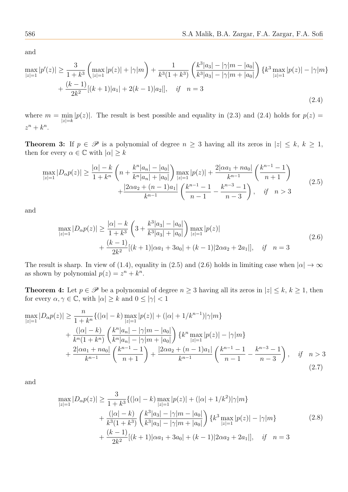and

$$
\max_{|z|=1} |p'(z)| \ge \frac{3}{1+k^3} \left( \max_{|z|=1} |p(z)| + |\gamma|m \right) + \frac{1}{k^3 (1+k^3)} \left( \frac{k^3 |a_3| - |\gamma|m - |a_0|}{k^3 |a_3| - |\gamma|m + |a_0|} \right) \left\{ k^3 \max_{|z|=1} |p(z)| - |\gamma|m \right\}
$$

$$
+ \frac{(k-1)}{2k^2} [(k+1)|a_1| + 2(k-1)|a_2|], \quad \text{if} \quad n=3
$$
\n(2.4)

where  $m = \min$ *|z|*=*k*  $|p(z)|$ . The result is best possible and equality in (2.3) and (2.4) holds for  $p(z)$  $z^n + k^n$ .

**Theorem 3:** If  $p \in \mathcal{P}$  is a polynomial of degree  $n \geq 3$  having all its zeros in  $|z| \leq k, k \geq 1$ , then for every  $\alpha \in \mathbb{C}$  with  $|\alpha| \geq k$ 

$$
\max_{|z|=1} |D_{\alpha}p(z)| \ge \frac{|\alpha|-k}{1+k^n} \left(n + \frac{k^n|a_n| - |a_0|}{k^n|a_n| + |a_0|}\right) \max_{|z|=1} |p(z)| + \frac{2|\alpha a_1 + na_0|}{k^{n-1}} \left(\frac{k^{n-1}-1}{n+1}\right) + \frac{|2\alpha a_2 + (n-1)a_1|}{k^{n-1}} \left(\frac{k^{n-1}-1}{n-1} - \frac{k^{n-3}-1}{n-3}\right), \quad \text{if} \quad n > 3 \tag{2.5}
$$

and

$$
\max_{|z|=1} |D_{\alpha}p(z)| \ge \frac{|\alpha| - k}{1 + k^3} \left( 3 + \frac{k^3|a_3| - |a_0|}{k^3|a_3| + |a_0|} \right) \max_{|z|=1} |p(z)|
$$
  
+ 
$$
\frac{(k-1)}{2k^2} [(k+1)|\alpha a_1 + 3a_0| + (k-1)|2\alpha a_2 + 2a_1|], \quad \text{if} \quad n = 3
$$
\n(2.6)

The result is sharp. In view of (1.4), equality in (2.5) and (2.6) holds in limiting case when  $|\alpha| \to \infty$ as shown by polynomial  $p(z) = z^n + k^n$ .

**Theorem 4:** Let  $p \in \mathcal{P}$  be a polynomial of degree  $n \geq 3$  having all its zeros in  $|z| \leq k, k \geq 1$ , then for every  $\alpha, \gamma \in \mathbb{C}$ , with  $|\alpha| \geq k$  and  $0 \leq |\gamma| < 1$ 

$$
\max_{|z|=1} |D_{\alpha}p(z)| \geq \frac{n}{1+k^{n}} \{ (|\alpha|-k) \max_{|z|=1} |p(z)| + (|\alpha|+1/k^{n-1})|\gamma|m \} \n+ \frac{(|\alpha|-k)}{k^{n}(1+k^{n})} \left( \frac{k^{n}|a_{n}| - |\gamma|m - |a_{0}|}{k^{n}|a_{n}| - |\gamma|m + |a_{0}|} \right) \{ k^{n} \max_{|z|=1} |p(z)| - |\gamma|m \} \n+ \frac{2|\alpha a_{1} + na_{0}|}{k^{n-1}} \left( \frac{k^{n-1}-1}{n+1} \right) + \frac{|2\alpha a_{2} + (n-1)a_{1}|}{k^{n-1}} \left( \frac{k^{n-1}-1}{n-1} - \frac{k^{n-3}-1}{n-3} \right), \text{ if } n > 3
$$
\n(2.7)

and

$$
\max_{|z|=1} |D_{\alpha}p(z)| \ge \frac{3}{1+k^3} \{ (|\alpha|-k) \max_{|z|=1} |p(z)| + (|\alpha|+1/k^2)|\gamma|m \} + \frac{(|\alpha|-k)}{k^3(1+k^3)} \left( \frac{k^3|a_3|-|\gamma|m-|a_0|}{k^3|a_3|-|\gamma|m+|a_0|} \right) \{ k^3 \max_{|z|=1} |p(z)| - |\gamma|m \} + \frac{(k-1)}{2k^2} [(k+1)|\alpha a_1 + 3a_0| + (k-1)|2\alpha a_2 + 2a_1|], \text{ if } n=3
$$
\n(2.8)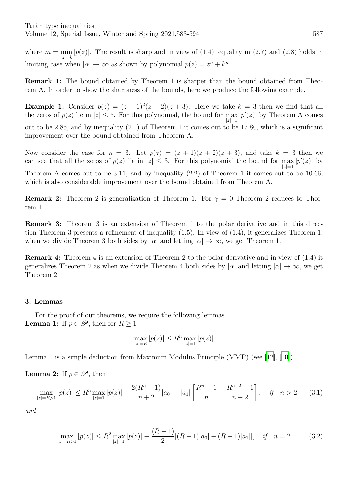where  $m = \min |p(z)|$ . The result is sharp and in view of (1.4), equality in (2.7) and (2.8) holds in *|z|*=*k* limiting case when  $|\alpha| \to \infty$  as shown by polynomial  $p(z) = z^n + k^n$ .

**Remark 1:** The bound obtained by Theorem 1 is sharper than the bound obtained from Theorem A. In order to show the sharpness of the bounds, here we produce the following example.

**Example 1:** Consider  $p(z) = (z+1)^2(z+2)(z+3)$ . Here we take  $k = 3$  then we find that all the zeros of  $p(z)$  lie in  $|z| \leq 3$ . For this polynomial, the bound for max *|z|*=1  $|p'(z)|$  by Theorem A comes out to be 2*.*85, and by inequality (2.1) of Theorem 1 it comes out to be 17*.*80, which is a significant improvement over the bound obtained from Theorem A.

Now consider the case for  $n = 3$ . Let  $p(z) = (z + 1)(z + 2)(z + 3)$ , and take  $k = 3$  then we can see that all the zeros of  $p(z)$  lie in  $|z| \leq 3$ . For this polynomial the bound for max  $|p'(z)|$  by *|z|*=1 Theorem A comes out to be 3*.*11, and by inequality (2.2) of Theorem 1 it comes out to be 10*.*66, which is also considerable improvement over the bound obtained from Theorem A.

**Remark 2:** Theorem 2 is generalization of Theorem 1. For  $\gamma = 0$  Theorem 2 reduces to Theorem 1.

**Remark 3:** Theorem 3 is an extension of Theorem 1 to the polar derivative and in this direction Theorem 3 presents a refinement of inequality (1.5). In view of (1.4), it generalizes Theorem 1, when we divide Theorem 3 both sides by  $|\alpha|$  and letting  $|\alpha| \to \infty$ , we get Theorem 1.

**Remark 4:** Theorem 4 is an extension of Theorem 2 to the polar derivative and in view of (1.4) it generalizes Theorem 2 as when we divide Theorem 4 both sides by  $|\alpha|$  and letting  $|\alpha| \to \infty$ , we get Theorem 2.

## **3. Lemmas**

For the proof of our theorems, we require the following lemmas. **Lemma 1:** If  $p \in \mathcal{P}$ , then for  $R \geq 1$ 

$$
\max_{|z|=R} |p(z)| \le R^n \max_{|z|=1} |p(z)|
$$

Lemma 1 is a simple deduction from Maximum Modulus Principle (MMP) (see [12], [10]).

**Lemma 2:** If  $p \in \mathcal{P}$ , then

$$
\max_{|z|=R>1} |p(z)| \le R^n \max_{|z|=1} |p(z)| - \frac{2(R^n - 1)}{n+2}|a_0| - |a_1| \left[ \frac{R^n - 1}{n} - \frac{R^{n-2} - 1}{n-2} \right], \quad \text{if} \quad n > 2 \tag{3.1}
$$

*and*

$$
\max_{|z|=R>1} |p(z)| \le R^2 \max_{|z|=1} |p(z)| - \frac{(R-1)}{2} [(R+1)|a_0| + (R-1)|a_1|], \quad \text{if} \quad n=2 \tag{3.2}
$$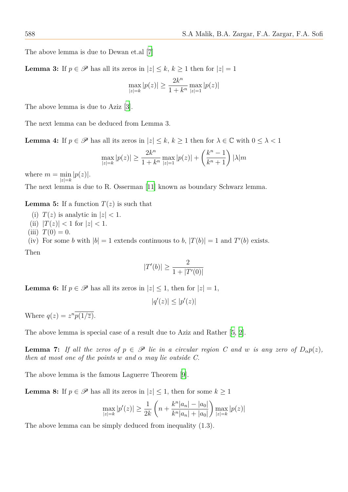The above lemma is due to Dewan et.al [7]

**Lemma 3:** If  $p \in \mathcal{P}$  has all its zeros in  $|z| \leq k, k \geq 1$  then for  $|z| = 1$ 

$$
\max_{|z|=k} |p(z)| \geq \frac{2k^n}{1+k^n} \max_{|z|=1} |p(z)|
$$

The above lemma is due to Aziz [3].

The next lemma can be deduced from Lemma 3.

**Lemma 4:** If  $p \in \mathcal{P}$  has all its z[er](#page-10-2)os in  $|z| \leq k, k \geq 1$  then for  $\lambda \in \mathbb{C}$  with  $0 \leq \lambda < 1$ 

$$
\max_{|z|=k} |p(z)| \ge \frac{2k^n}{1+k^n} \max_{|z|=1} |p(z)| + \left(\frac{k^n - 1}{k^n + 1}\right) |\lambda| m
$$

where  $m = \min$ *|z|*=*k |p*(*z*)*|*.

The next lemma is due to R. Osserman [11] known as boundary Schwarz lemma.

**Lemma 5:** If a function  $T(z)$  is such that

(i)  $T(z)$  is analytic in  $|z| < 1$ . (ii)  $|T(z)| < 1$  for  $|z| < 1$ . (iii)  $T(0) = 0$ . (iv) For some *b* with  $|b| = 1$  extends continuous to *b*,  $|T(b)| = 1$  and  $T'(b)$  exists. Then

$$
|T'(b)| \ge \frac{2}{1 + |T'(0)|}
$$

**Lemma 6:** If  $p \in \mathcal{P}$  has all its zeros in  $|z| \leq 1$ , then for  $|z| = 1$ ,

$$
|q'(z)| \le |p'(z)|
$$

Where  $q(z) = z^n \overline{p(1/\overline{z})}$ .

The above lemma is special case of a result due to Aziz and Rather [5, 2].

**Lemma 7:** *If all the zeros of*  $p \in \mathscr{P}$  *lie in a circular region C and w is any zero of*  $D_{\alpha}p(z)$ *, then at most one of the points w and*  $\alpha$  *may lie outside C.* 

The above lemma is the famous Laguerre Theorem [9].

**Lemma 8:** If  $p \in \mathcal{P}$  has all its zeros in  $|z| \leq 1$ , then for some  $k \geq 1$ 

$$
\max_{|z|=k} |p'(z)| \ge \frac{1}{2k} \left( n + \frac{k^n |a_n| - |a_0|}{k^n |a_n| + |a_0|} \right) \max_{|z|=k} |p(z)|
$$

The above lemma can be simply deduced from inequality (1.3).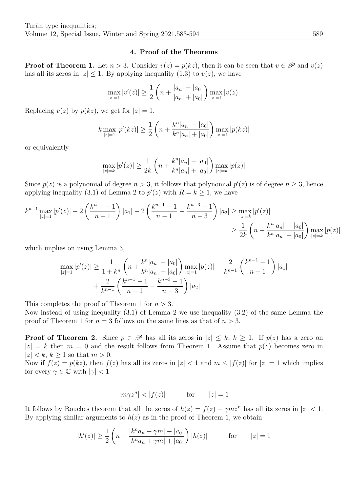#### **4. Proof of the Theorems**

**Proof of Theorem 1.** Let  $n > 3$ . Consider  $v(z) = p(kz)$ , then it can be seen that  $v \in \mathscr{P}$  and  $v(z)$ has all its zeros in  $|z| \leq 1$ . By applying inequality (1.3) to  $v(z)$ , we have

$$
\max_{|z|=1} |v'(z)| \ge \frac{1}{2} \left( n + \frac{|a_n| - |a_0|}{|a_n| + |a_0|} \right) \max_{|z|=1} |v(z)|
$$

Replacing  $v(z)$  by  $p(kz)$ , we get for  $|z|=1$ ,

$$
k \max_{|z|=1} |p'(kz)| \ge \frac{1}{2} \left( n + \frac{k^n |a_n| - |a_0|}{k^n |a_n| + |a_0|} \right) \max_{|z|=1} |p(kz)|
$$

or equivalently

$$
\max_{|z|=k} |p'(z)| \ge \frac{1}{2k} \left( n + \frac{k^n |a_n| - |a_0|}{k^n |a_n| + |a_0|} \right) \max_{|z|=k} |p(z)|
$$

Since  $p(z)$  is a polynomial of degree  $n > 3$ , it follows that polynomial  $p'(z)$  is of degree  $n \geq 3$ , hence applying inequality (3.1) of Lemma 2 to  $p'(z)$  with  $R = k \geq 1$ , we have

$$
k^{n-1} \max_{|z|=1} |p'(z)| - 2\left(\frac{k^{n-1}-1}{n+1}\right)|a_1| - 2\left(\frac{k^{n-1}-1}{n-1} - \frac{k^{n-3}-1}{n-3}\right)|a_2| \ge \max_{|z|=k} |p'(z)|
$$
  

$$
\ge \frac{1}{2k} \left(n + \frac{k^n |a_n| - |a_0|}{k^n |a_n| + |a_0|}\right) \max_{|z|=k} |p(z)|
$$

which implies on using Lemma 3,

$$
\max_{|z|=1} |p'(z)| \ge \frac{1}{1+k^n} \left( n + \frac{k^n |a_n| - |a_0|}{k^n |a_n| + |a_0|} \right) \max_{|z|=1} |p(z)| + \frac{2}{k^{n-1}} \left( \frac{k^{n-1} - 1}{n+1} \right) |a_1| + \frac{2}{k^{n-1}} \left( \frac{k^{n-1} - 1}{n-1} - \frac{k^{n-3} - 1}{n-3} \right) |a_2|
$$

This completes the proof of Theorem 1 for *n >* 3.

Now instead of using inequality (3.1) of Lemma 2 we use inequality (3.2) of the same Lemma the proof of Theorem 1 for  $n = 3$  follows on the same lines as that of  $n > 3$ .

**Proof of Theorem 2.** Since  $p \in \mathcal{P}$  has all its zeros in  $|z| \leq k, k \geq 1$ . If  $p(z)$  has a zero on  $|z| = k$  then  $m = 0$  and the result follows from Theorem 1. Assume that  $p(z)$  becomes zero in *|z| < k*, *k ≥* 1 so that *m >* 0.

Now if  $f(z) = p(kz)$ , then  $f(z)$  has all its zeros in  $|z| < 1$  and  $m \leq |f(z)|$  for  $|z| = 1$  which implies for every  $\gamma \in \mathbb{C}$  with  $|\gamma| < 1$ 

$$
|m\gamma z^n| < |f(z)| \qquad \text{for} \qquad |z| = 1
$$

It follows by Rouches theorem that all the zeros of  $h(z) = f(z) - \gamma m z^n$  has all its zeros in  $|z| < 1$ . By applying similar arguments to  $h(z)$  as in the proof of Theorem 1, we obtain

$$
|h'(z)| \ge \frac{1}{2} \left( n + \frac{|k^n a_n + \gamma m| - |a_0|}{|k^n a_n + \gamma m| + |a_0|} \right) |h(z)| \qquad \text{for} \qquad |z| = 1
$$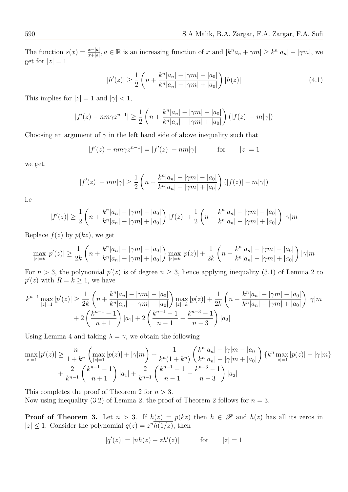The function  $s(x) = \frac{x-|a|}{x+|a|}$ ,  $a \in \mathbb{R}$  is an increasing function of x and  $|k^n a_n + \gamma m| \geq k^n |a_n| - |\gamma m|$ , we get for  $|z|=1$ 

$$
|h'(z)| \ge \frac{1}{2} \left( n + \frac{k^n |a_n| - |\gamma m| - |a_0|}{k^n |a_n| - |\gamma m| + |a_0|} \right) |h(z)| \tag{4.1}
$$

This implies for  $|z|=1$  and  $|\gamma|<1$ ,

$$
|f'(z) - nm\gamma z^{n-1}| \ge \frac{1}{2} \left( n + \frac{k^n |a_n| - |\gamma m| - |a_0|}{k^n |a_n| - |\gamma m| + |a_0|} \right) (|f(z)| - m|\gamma|)
$$

Choosing an argument of  $\gamma$  in the left hand side of above inequality such that

$$
|f'(z) - nm\gamma z^{n-1}| = |f'(z)| - nm|\gamma|
$$
 for  $|z| = 1$ 

we get,

$$
|f'(z)| - nm|\gamma| \ge \frac{1}{2} \left( n + \frac{k^n |a_n| - |\gamma m| - |a_0|}{k^n |a_n| - |\gamma m| + |a_0|} \right) (|f(z)| - m|\gamma|)
$$

i.e

$$
|f'(z)| \geq \frac{1}{2} \left( n + \frac{k^n |a_n| - |\gamma m| - |a_0|}{k^n |a_n| - |\gamma m| + |a_0|} \right) |f(z)| + \frac{1}{2} \left( n - \frac{k^n |a_n| - |\gamma m| - |a_0|}{k^n |a_n| - |\gamma m| + |a_0|} \right) |\gamma| m
$$

Replace  $f(z)$  by  $p(kz)$ , we get

$$
\max_{|z|=k} |p'(z)| \ge \frac{1}{2k} \left( n + \frac{k^n |a_n| - |\gamma m| - |a_0|}{k^n |a_n| - |\gamma m| + |a_0|} \right) \max_{|z|=k} |p(z)| + \frac{1}{2k} \left( n - \frac{k^n |a_n| - |\gamma m| - |a_0|}{k^n |a_n| - |\gamma m| + |a_0|} \right) |\gamma| m
$$

For  $n > 3$ , the polynomial  $p'(z)$  is of degree  $n \geq 3$ , hence applying inequality (3.1) of Lemma 2 to  $p'(z)$  with  $R = k \geq 1$ , we have

$$
k^{n-1} \max_{|z|=1} |p'(z)| \ge \frac{1}{2k} \left( n + \frac{k^n |a_n| - |\gamma m| - |a_0|}{k^n |a_n| - |\gamma m| + |a_0|} \right) \max_{|z|=k} |p(z)| + \frac{1}{2k} \left( n - \frac{k^n |a_n| - |\gamma m| - |a_0|}{k^n |a_n| - |\gamma m| + |a_0|} \right) |\gamma|m + 2 \left( \frac{k^{n-1} - 1}{n+1} \right) |a_1| + 2 \left( \frac{k^{n-1} - 1}{n-1} - \frac{k^{n-3} - 1}{n-3} \right) |a_2|
$$

Using Lemma 4 and taking  $\lambda = \gamma$ , we obtain the following

$$
\max_{|z|=1} |p'(z)| \ge \frac{n}{1+k^n} \left( \max_{|z|=1} |p(z)| + |\gamma|m \right) + \frac{1}{k^n (1+k^n)} \left( \frac{k^n |a_n| - |\gamma|m - |a_0|}{k^n |a_n| - |\gamma|m + |a_0|} \right) \{ k^n \max_{|z|=1} |p(z)| - |\gamma|m + |a_0| \}
$$

$$
+ \frac{2}{k^{n-1}} \left( \frac{k^{n-1} - 1}{n+1} \right) |a_1| + \frac{2}{k^{n-1}} \left( \frac{k^{n-1} - 1}{n-1} - \frac{k^{n-3} - 1}{n-3} \right) |a_2|
$$

This completes the proof of Theorem 2 for *n >* 3.

Now using inequality (3.2) of Lemma 2, the proof of Theorem 2 follows for  $n = 3$ .

**Proof of Theorem 3.** Let  $n > 3$ . If  $h(z) = p(kz)$  then  $h \in \mathscr{P}$  and  $h(z)$  has all its zeros in  $|z| \leq 1$ . Consider the polynomial  $q(z) = z^n \overline{h(1/\overline{z})}$ , then

$$
|q'(z)| = |nh(z) - zh'(z)| \qquad \text{for} \qquad |z| = 1
$$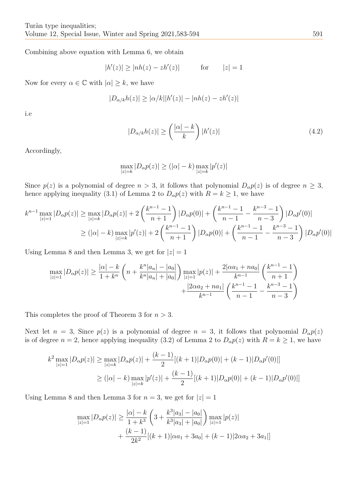Combining above equation with Lemma 6, we obtain

$$
|h'(z)| \ge |nh(z) - zh'(z)| \qquad \text{for} \qquad |z| = 1
$$

Now for every  $\alpha \in \mathbb{C}$  with  $|\alpha| \geq k$ , we have

$$
|D_{\alpha/k}h(z)| \ge |\alpha/k||h'(z)| - |nh(z) - zh'(z)|
$$

i.e

$$
|D_{\alpha/k}h(z)| \ge \left(\frac{|\alpha|-k}{k}\right)|h'(z)|\tag{4.2}
$$

Accordingly,

$$
\max_{|z|=k}|D_\alpha p(z)|\geq (|\alpha|-k)\max_{|z|=k}|p'(z)|
$$

Since  $p(z)$  is a polynomial of degree  $n > 3$ , it follows that polynomial  $D_{\alpha}p(z)$  is of degree  $n \geq 3$ , hence applying inequality (3.1) of Lemma 2 to  $D_{\alpha}p(z)$  with  $R = k \ge 1$ , we have

$$
k^{n-1} \max_{|z|=1} |D_{\alpha}p(z)| \ge \max_{|z|=k} |D_{\alpha}p(z)| + 2\left(\frac{k^{n-1}-1}{n+1}\right)|D_{\alpha}p(0)| + \left(\frac{k^{n-1}-1}{n-1} - \frac{k^{n-3}-1}{n-3}\right)|D_{\alpha}p'(0)|
$$
  

$$
\ge (|\alpha|-k) \max_{|z|=k} |p'(z)| + 2\left(\frac{k^{n-1}-1}{n+1}\right)|D_{\alpha}p(0)| + \left(\frac{k^{n-1}-1}{n-1} - \frac{k^{n-3}-1}{n-3}\right)|D_{\alpha}p'(0)|
$$

Using Lemma 8 and then Lemma 3, we get for  $|z|=1$ 

$$
\max_{|z|=1} |D_{\alpha}p(z)| \ge \frac{|\alpha|-k}{1+k^n} \left(n + \frac{k^n|a_n| - |a_0|}{k^n|a_n| + |a_0|}\right) \max_{|z|=1} |p(z)| + \frac{2|\alpha a_1 + na_0|}{k^{n-1}} \left(\frac{k^{n-1}-1}{n+1}\right) + \frac{|2\alpha a_2 + na_1|}{k^{n-1}} \left(\frac{k^{n-1}-1}{n-1} - \frac{k^{n-3}-1}{n-3}\right)
$$

This completes the proof of Theorem 3 for *n >* 3.

Next let  $n = 3$ , Since  $p(z)$  is a polynomial of degree  $n = 3$ , it follows that polynomial  $D_{\alpha}p(z)$ is of degree  $n = 2$ , hence applying inequality (3.2) of Lemma 2 to  $D_{\alpha}p(z)$  with  $R = k \ge 1$ , we have

$$
k^{2} \max_{|z|=1} |D_{\alpha}p(z)| \ge \max_{|z|=k} |D_{\alpha}p(z)| + \frac{(k-1)}{2}[(k+1)|D_{\alpha}p(0)| + (k-1)|D_{\alpha}p'(0)|]
$$
  

$$
\ge (|\alpha| - k) \max_{|z|=k} |p'(z)| + \frac{(k-1)}{2}[(k+1)|D_{\alpha}p(0)| + (k-1)|D_{\alpha}p'(0)|]
$$

Using Lemma 8 and then Lemma 3 for  $n = 3$ , we get for  $|z| = 1$ 

$$
\max_{|z|=1} |D_{\alpha}p(z)| \ge \frac{|\alpha|-k}{1+k^3} \left(3 + \frac{k^3|a_3| - |a_0|}{k^3|a_3| + |a_0|}\right) \max_{|z|=1} |p(z)| + \frac{(k-1)}{2k^2} [(k+1)|\alpha a_1 + 3a_0| + (k-1)|2\alpha a_2 + 3a_1|]
$$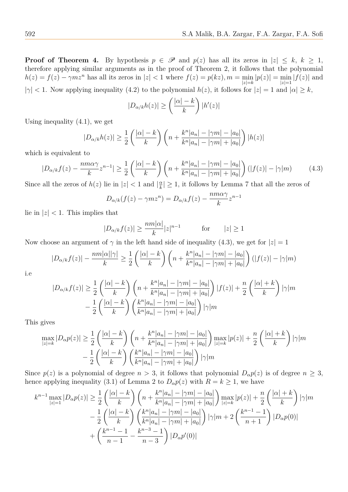**Proof of Theorem 4.** By hypothesis  $p \in \mathcal{P}$  and  $p(z)$  has all its zeros in  $|z| \leq k, k \geq 1$ , therefore applying similar arguments as in the proof of Theorem 2, it follows that the polynomial  $h(z) = f(z) - \gamma m z^n$  has all its zeros in  $|z| < 1$  where  $f(z) = p(kz), m = \min$ *|z|*=*k*  $|p(z)| = \min$ *|z|*=1  $|f(z)|$  and  $|\gamma| < 1$ . Now applying inequality (4.2) to the polynomial  $h(z)$ , it follows for  $|z| = 1$  and  $|\alpha| \geq k$ ,

$$
|D_{\alpha/k}h(z)| \ge \left(\frac{|\alpha|-k}{k}\right)|h'(z)|
$$

Using inequality (4.1), we get

$$
|D_{\alpha/k}h(z)| \ge \frac{1}{2} \left( \frac{|\alpha| - k}{k} \right) \left( n + \frac{k^n |a_n| - |\gamma m| - |a_0|}{k^n |a_n| - |\gamma m| + |a_0|} \right) |h(z)|
$$

which is equivalent to

$$
|D_{\alpha/k}f(z) - \frac{n m \alpha \gamma}{k} z^{n-1}| \ge \frac{1}{2} \left( \frac{|\alpha| - k}{k} \right) \left( n + \frac{k^n |a_n| - |\gamma m| - |a_0|}{k^n |a_n| - |\gamma m| + |a_0|} \right) (|f(z)| - |\gamma|m) \tag{4.3}
$$

Since all the zeros of  $h(z)$  lie in  $|z| < 1$  and  $|\frac{\alpha}{k}|$  $\frac{\alpha}{k}$  |  $\geq$  1, it follows by Lemma 7 that all the zeros of

$$
D_{\alpha/k}(f(z) - \gamma m z^n) = D_{\alpha/k}f(z) - \frac{nm\alpha\gamma}{k}z^{n-1}
$$

lie in  $|z|$  < 1. This implies that

$$
|D_{\alpha/k}f(z)| \ge \frac{nm|\alpha|}{k}|z|^{n-1} \qquad \text{for} \qquad |z| \ge 1
$$

Now choose an argument of  $\gamma$  in the left hand side of inequality (4.3), we get for  $|z|=1$ 

$$
|D_{\alpha/k}f(z)| - \frac{nm|\alpha||\gamma|}{k} \ge \frac{1}{2} \left( \frac{|\alpha| - k}{k} \right) \left( n + \frac{k^n|a_n| - |\gamma m| - |a_0|}{k^n|a_n| - |\gamma m| + |a_0|} \right) (|f(z)| - |\gamma|m)
$$

i.e

$$
|D_{\alpha/k}f(z)| \geq \frac{1}{2} \left( \frac{|\alpha| - k}{k} \right) \left( n + \frac{k^n |a_n| - |\gamma m| - |a_0|}{k^n |a_n| - |\gamma m| + |a_0|} \right) |f(z)| + \frac{n}{2} \left( \frac{|\alpha| + k}{k} \right) |\gamma|m - \frac{1}{2} \left( \frac{|\alpha| - k}{k} \right) \left( \frac{k^n |a_n| - |\gamma m| - |a_0|}{k^n |a_n| - |\gamma m| + |a_0|} \right) |\gamma|m
$$

This gives

$$
\max_{|z|=k} |D_{\alpha}p(z)| \ge \frac{1}{2} \left( \frac{|\alpha|-k}{k} \right) \left( n + \frac{k^n |a_n| - |\gamma m| - |a_0|}{k^n |a_n| - |\gamma m| + |a_0|} \right) \max_{|z|=k} |p(z)| + \frac{n}{2} \left( \frac{|\alpha|+k}{k} \right) |\gamma|m - \frac{1}{2} \left( \frac{|\alpha|-k}{k} \right) \left( \frac{k^n |a_n| - |\gamma m| - |a_0|}{k^n |a_n| - |\gamma m| + |a_0|} \right) |\gamma|m
$$

Since  $p(z)$  is a polynomial of degree  $n > 3$ , it follows that polynomial  $D_{\alpha}p(z)$  is of degree  $n \geq 3$ , hence applying inequality (3.1) of Lemma 2 to  $D_{\alpha}p(z)$  with  $R = k \ge 1$ , we have

$$
k^{n-1} \max_{|z|=1} |D_{\alpha}p(z)| \geq \frac{1}{2} \left( \frac{|\alpha|-k}{k} \right) \left( n + \frac{k^{n}|a_{n}| - |\gamma m| - |a_{0}|}{k^{n}|a_{n}| - |\gamma m| + |a_{0}|} \right) \max_{|z|=k} |p(z)| + \frac{n}{2} \left( \frac{|\alpha|+k}{k} \right) |\gamma|m - \frac{1}{2} \left( \frac{|\alpha|-k}{k} \right) \left( \frac{k^{n}|a_{n}| - |\gamma m| - |a_{0}|}{k^{n}|a_{n}| - |\gamma m| + |a_{0}|} \right) |\gamma|m + 2 \left( \frac{k^{n-1}-1}{n+1} \right) |D_{\alpha}p(0)| + \left( \frac{k^{n-1}-1}{n-1} - \frac{k^{n-3}-1}{n-3} \right) |D_{\alpha}p'(0)|
$$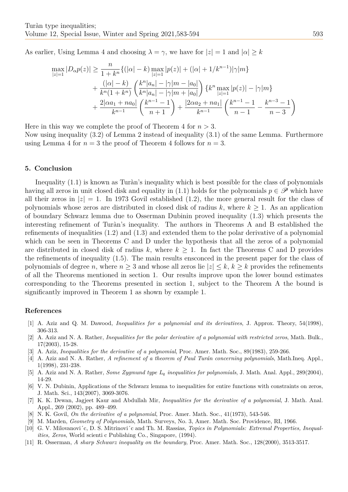As earlier, Using Lemma 4 and choosing  $\lambda = \gamma$ , we have for  $|z| = 1$  and  $|\alpha| \geq k$ 

$$
\max_{|z|=1} |D_{\alpha}p(z)| \ge \frac{n}{1+k^n} \{ (|\alpha|-k) \max_{|z|=1} |p(z)| + (|\alpha|+1/k^{n-1}) |\gamma|m \} + \frac{(|\alpha|-k)}{k^n(1+k^n)} \left( \frac{k^n |a_n| - |\gamma|m - |a_0|}{k^n |a_n| - |\gamma|m + |a_0|} \right) \{ k^n \max_{|z|=1} |p(z)| - |\gamma|m \} + \frac{2|\alpha a_1 + na_0|}{k^{n-1}} \left( \frac{k^{n-1} - 1}{n+1} \right) + \frac{|2\alpha a_2 + na_1|}{k^{n-1}} \left( \frac{k^{n-1} - 1}{n-1} - \frac{k^{n-3} - 1}{n-3} \right)
$$

Here in this way we complete the proof of Theorem 4 for  $n > 3$ .

Now using inequality (3.2) of Lemma 2 instead of inequality (3.1) of the same Lemma. Furthermore using Lemma 4 for  $n = 3$  the proof of Theorem 4 follows for  $n = 3$ .

## **5. Conclusion**

Inequality (1.1) is known as Turàn's inequality which is best possible for the class of polynomials having all zeros in unit closed disk and equality in (1.1) holds for the polynomials  $p \in \mathscr{P}$  which have all their zeros in  $|z|=1$ . In 1973 Govil established (1.2), the more general result for the class of polynomials whose zeros are distributed in closed disk of radius  $k$ , where  $k \geq 1$ . As an application of boundary Schwarz lemma due to Osserman Dubinin proved inequality (1.3) which presents the interesting refinement of Turàn's inequality. The authors in Theorems A and B established the refinements of inequalities (1.2) and (1.3) and extended them to the polar derivative of a polynomial which can be seen in Theorems C and D under the hypothesis that all the zeros of a polynomial are distributed in closed disk of radius  $k$ , where  $k \geq 1$ . In fact the Theorems C and D provides the refinements of inequality (1.5). The main results ensconced in the present paper for the class of polynomials of degree *n*, where  $n \geq 3$  and whose all zeros lie  $|z| \leq k$ ,  $k \geq k$  provides the refinements of all the Theorems mentioned in section 1. Our results improve upon the lower bound estimates corresponding to the Theorems presented in section 1, subject to the Theorem A the bound is significantly improved in Theorem 1 as shown by example 1.

#### **References**

- [1] A. Aziz and Q. M. Dawood, *Inequalities for a polynomial and its derivatives*, J. Approx. Theory, 54(1998), 306-313.
- [2] A. Aziz and N. A. Rather, *Inequalities for the polar derivative of a polynomial with restricted zeros*, Math. Bulk., 17(2003), 15-28.
- <span id="page-10-2"></span>[3] A. Aziz, *Inequalities for the derivative of a polynomial*, Proc. Amer. Math. Soc., 89(1983), 259-266.
- [4] A. Aziz and N. A. Rather, *A refinement of a theorem of Paul Turán concerning polynomials*, Math.Ineq. Appl., 1(1998), 231-238.
- [5] A. Aziz and N. A. Rather, *Some Zygmund type L<sup>q</sup> inequalities for polynomials*, J. Math. Anal. Appl., 289(2004), 14-29.
- <span id="page-10-1"></span>[6] V. N. Dubinin, Applications of the Schwarz lemma to inequalities for entire functions with constraints on zeros, J. Math. Sci., 143(2007), 3069-3076.
- <span id="page-10-4"></span>[7] K. K. Dewan, Jagjeet Kaur and Abdullah Mir, *Inequalities for the derivative of a polynomial*, J. Math. Anal. Appl., 269 (2002), pp. 489–499.
- <span id="page-10-0"></span>[8] N. K. Govil, *On the derivative of a polynomial*, Proc. Amer. Math. Soc., 41(1973), 543-546.
- <span id="page-10-5"></span>[9] M. Marden, *Geometry of Polynomials*, Math. Surveys, No. 3, Amer. Math. Soc. Providence, RI, 1966.
- <span id="page-10-3"></span>[10] G. V. Milovanovi´c, D. S. Mitrinovi´c and Th. M. Rassias, *Topics in Polynomials: Extremal Properties, Inequalities, Zeros*, World scientic Publishing Co., Singapore, (1994).
- [11] R. Osserman, *A sharp Schwarz inequality on the boundary*, Proc. Amer. Math. Soc., 128(2000), 3513-3517.